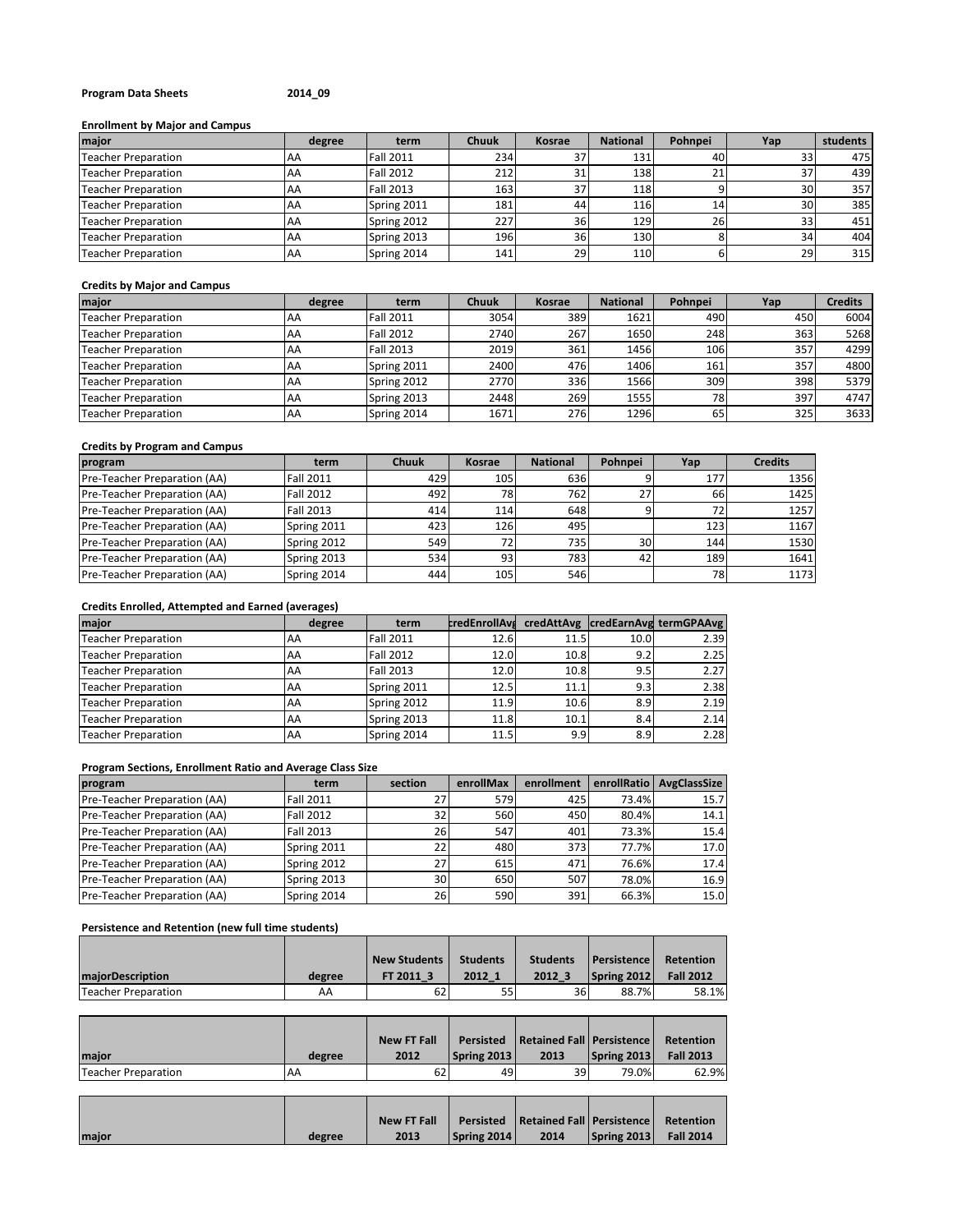#### **Program Data Sheets 2014\_09**

#### **Enrollment by Major and Campus**

| major                      | degree | term             | <b>Chuuk</b> | Kosrae          | <b>National</b> | Pohnpei   | Yap             | students |
|----------------------------|--------|------------------|--------------|-----------------|-----------------|-----------|-----------------|----------|
| <b>Teacher Preparation</b> | AA     | <b>Fall 2011</b> | 234          |                 | 131             | 40        | 33              | 475      |
| <b>Teacher Preparation</b> | AA     | <b>Fall 2012</b> | 212          |                 | 138             | 21        | 37              | 439      |
| <b>Teacher Preparation</b> | AA     | <b>Fall 2013</b> | 163          | 37              | 118             |           | 30 <sub>1</sub> | 357      |
| <b>Teacher Preparation</b> | AA     | Spring 2011      | 181          | 44              | 116             | 14        | 30 <sub>1</sub> | 385      |
| <b>Teacher Preparation</b> | AA     | Spring 2012      | 227          | 361             | 129             | <b>26</b> | 33              | 451      |
| <b>Teacher Preparation</b> | AA     | Spring 2013      | 196          | 36 <sup>l</sup> | 130             |           | 34              | 404      |
| <b>Teacher Preparation</b> | AA     | Spring 2014      | 141          | 29              | 110             |           | 29              | 315      |

## **Credits by Major and Campus**

| major                      | degree    | term             | <b>Chuuk</b> | Kosrae | <b>National</b> | Pohnpei | Yap | <b>Credits</b> |
|----------------------------|-----------|------------------|--------------|--------|-----------------|---------|-----|----------------|
| <b>Teacher Preparation</b> | AA        | <b>Fall 2011</b> | 3054         | 389    | 1621            | 490     | 450 | 6004           |
| <b>Teacher Preparation</b> | AA        | <b>Fall 2012</b> | 2740         | 267    | 1650            | 248     | 363 | 5268           |
| <b>Teacher Preparation</b> | <b>AA</b> | <b>Fall 2013</b> | 2019         | 361    | 1456            | 106     | 357 | 4299           |
| <b>Teacher Preparation</b> | AA        | Spring 2011      | 2400         | 476    | 1406            | 161     | 357 | 4800           |
| <b>Teacher Preparation</b> | AA        | Spring 2012      | 2770         | 336    | 1566            | 309     | 398 | 5379           |
| <b>Teacher Preparation</b> | <b>AA</b> | Spring 2013      | 2448         | 269    | 1555            | 78      | 397 | 4747           |
| <b>Teacher Preparation</b> | AA        | Spring 2014      | 1671         | 276    | 1296            | 65      | 325 | 3633           |

## **Credits by Program and Campus**

| program                      | term             | Chuuk | Kosrae | <b>National</b> | Pohnpei         | Yap | <b>Credits</b> |
|------------------------------|------------------|-------|--------|-----------------|-----------------|-----|----------------|
| Pre-Teacher Preparation (AA) | <b>Fall 2011</b> | 429   | 105    | 636             |                 | 177 | 1356           |
| Pre-Teacher Preparation (AA) | <b>Fall 2012</b> | 492   | 781    | 762             | 27              | 66  | 1425           |
| Pre-Teacher Preparation (AA) | <b>Fall 2013</b> | 414   | 114    | 648             |                 |     | 1257           |
| Pre-Teacher Preparation (AA) | Spring 2011      | 423   | 126    | 495             |                 | 123 | 1167           |
| Pre-Teacher Preparation (AA) | Spring 2012      | 549   | 721    | 735             | 30 <sup>1</sup> | 144 | 1530           |
| Pre-Teacher Preparation (AA) | Spring 2013      | 534   | 93     | 783             | 42              | 189 | 1641           |
| Pre-Teacher Preparation (AA) | Spring 2014      | 444   | 105    | 546             |                 | 781 | 1173           |

## **Credits Enrolled, Attempted and Earned (averages)**

| major                      | degree | term             |      |      |      | credEnrollAvs credAttAvg credEarnAvg termGPAAvg |
|----------------------------|--------|------------------|------|------|------|-------------------------------------------------|
| Teacher Preparation        | AA     | <b>Fall 2011</b> | 12.6 | 11.5 | 10.0 | 2.39                                            |
| Teacher Preparation        | AA     | <b>Fall 2012</b> | 12.0 | 10.8 | 9.2  | 2.25                                            |
| Teacher Preparation        | AA     | <b>Fall 2013</b> | 12.0 | 10.8 | 9.5  | 2.27                                            |
| Teacher Preparation        | AA     | Spring 2011      | 12.5 | 11.1 | 9.3  | 2.38                                            |
| Teacher Preparation        | AA     | Spring 2012      | 11.9 | 10.6 | 8.9  | 2.19                                            |
| <b>Teacher Preparation</b> | AA     | Spring 2013      | 11.8 | 10.1 | 8.4  | 2.14                                            |
| Teacher Preparation        | AA     | Spring 2014      | 11.5 | 9.9  | 8.9  | 2.28                                            |

#### **Program Sections, Enrollment Ratio and Average Class Size**

| program                      | term             | section         | enrollMax | enrollment | enrollRatio | <b>AvgClassSize</b> |
|------------------------------|------------------|-----------------|-----------|------------|-------------|---------------------|
| Pre-Teacher Preparation (AA) | <b>Fall 2011</b> | 27              | 579       | 425        | 73.4%       | 15.7                |
| Pre-Teacher Preparation (AA) | <b>Fall 2012</b> | 321             | 560       | 450        | 80.4%       | 14.1                |
| Pre-Teacher Preparation (AA) | <b>Fall 2013</b> | <b>26</b>       | 547       | 401        | 73.3%       | 15.4                |
| Pre-Teacher Preparation (AA) | Spring 2011      | 22I             | 480       | 373        | 77.7%       | 17.0                |
| Pre-Teacher Preparation (AA) | Spring 2012      | 27              | 615       | 471        | 76.6%       | 17.4                |
| Pre-Teacher Preparation (AA) | Spring 2013      | 30 <sup>1</sup> | 650       | 507        | 78.0%       | 16.9                |
| Pre-Teacher Preparation (AA) | Spring 2014      | 26              | 590       | 391        | 66.3%       | 15.0                |

#### **Persistence and Retention (new full time students)**

|                         |        | <b>New Students</b> | <b>Students</b> | <b>Students</b> | Persistence | Retention        |
|-------------------------|--------|---------------------|-----------------|-----------------|-------------|------------------|
| <b>maiorDescription</b> | degree | FT 2011 3           | 2012 1          | 2012 3          | Spring 2012 | <b>Fall 2012</b> |
| Teacher Preparation     | AA     | 62                  | 55              | 36I             | 88.7%       | 58.1%            |

|                     |        | <b>New FT Fall</b> |                    | Persisted   Retained Fall   Persistence |             | Retention        |
|---------------------|--------|--------------------|--------------------|-----------------------------------------|-------------|------------------|
| <b>Imaior</b>       | degree | 2012               | <b>Spring 2013</b> | 2013                                    | Spring 2013 | <b>Fall 2013</b> |
| Teacher Preparation | I AA   | 62                 | 49                 | 39                                      | 79.0%       | 62.9%            |

|       |        | <b>New FT Fall</b> | Persisted   | Retained Fall   Persistence   Retention |             |                  |
|-------|--------|--------------------|-------------|-----------------------------------------|-------------|------------------|
| maior | degree | 2013               | Spring 2014 | 2014                                    | Spring 2013 | <b>Fall 2014</b> |